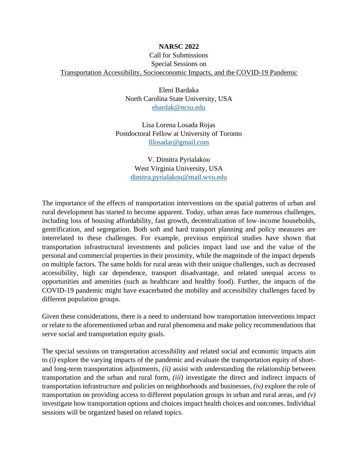## **NARSC 2022** Call for Submissions Special Sessions on Transportation Accessibility, Socioeconomic Impacts, and the COVID-19 Pandemic

Eleni Bardaka North Carolina State University, USA [ebardak@ncsu.edu](mailto:ebardak@ncsu.edu)

Lisa Lorena Losada Rojas Postdoctoral Fellow at University of Toronto [lllosadar@gmail.com](mailto:lllosadar@gmail.com)

> V. Dimitra Pyrialakou West Virginia University, USA [dimitra.pyrialakou@mail.wvu.edu](mailto:dimitra.pyrialakou@mail.wvu.edu)

The importance of the effects of transportation interventions on the spatial patterns of urban and rural development has started to become apparent. Today, urban areas face numerous challenges, including loss of housing affordability, fast growth, decentralization of low-income households, gentrification, and segregation. Both soft and hard transport planning and policy measures are interrelated to these challenges. For example, previous empirical studies have shown that transportation infrastructural investments and policies impact land use and the value of the personal and commercial properties in their proximity, while the magnitude of the impact depends on multiple factors. The same holds for rural areas with their unique challenges, such as decreased accessibility, high car dependence, transport disadvantage, and related unequal access to opportunities and amenities (such as healthcare and healthy food). Further, the impacts of the COVID-19 pandemic might have exacerbated the mobility and accessibility challenges faced by different population groups.

Given these considerations, there is a need to understand how transportation interventions impact or relate to the aforementioned urban and rural phenomena and make policy recommendations that serve social and transportation equity goals.

The special sessions on transportation accessibility and related social and economic impacts aim to *(i)* explore the varying impacts of the pandemic and evaluate the transportation equity of shortand long-term transportation adjustments, *(ii)* assist with understanding the relationship between transportation and the urban and rural form, *(iii)* investigate the direct and indirect impacts of transportation infrastructure and policies on neighborhoods and businesses, *(iv)* explore the role of transportation on providing access to different population groups in urban and rural areas, and *(v)* investigate how transportation options and choices impact health choices and outcomes. Individual sessions will be organized based on related topics.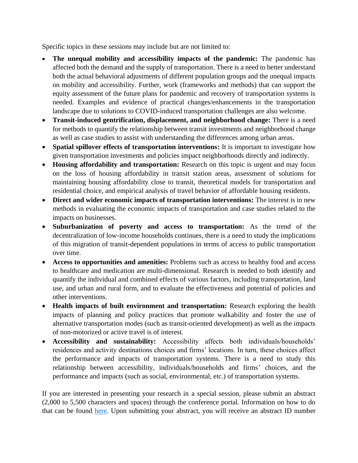Specific topics in these sessions may include but are not limited to:

- **The unequal mobility and accessibility impacts of the pandemic:** The pandemic has affected both the demand and the supply of transportation. There is a need to better understand both the actual behavioral adjustments of different population groups and the unequal impacts on mobility and accessibility. Further, work (frameworks and methods) that can support the equity assessment of the future plans for pandemic and recovery of transportation systems is needed. Examples and evidence of practical changes/enhancements in the transportation landscape due to solutions to COVID-induced transportation challenges are also welcome.
- **Transit-induced gentrification, displacement, and neighborhood change:** There is a need for methods to quantify the relationship between transit investments and neighborhood change as well as case studies to assist with understanding the differences among urban areas.
- **Spatial spillover effects of transportation interventions:** It is important to investigate how given transportation investments and policies impact neighborhoods directly and indirectly.
- **Housing affordability and transportation:** Research on this topic is urgent and may focus on the loss of housing affordability in transit station areas, assessment of solutions for maintaining housing affordability close to transit, theoretical models for transportation and residential choice, and empirical analysis of travel behavior of affordable housing residents.
- **Direct and wider economic impacts of transportation interventions:** The interest is in new methods in evaluating the economic impacts of transportation and case studies related to the impacts on businesses.
- **Suburbanization of poverty and access to transportation:** As the trend of the decentralization of low-income households continues, there is a need to study the implications of this migration of transit-dependent populations in terms of access to public transportation over time.
- **Access to opportunities and amenities:** Problems such as access to healthy food and access to healthcare and medication are multi-dimensional. Research is needed to both identify and quantify the individual and combined effects of various factors, including transportation, land use, and urban and rural form, and to evaluate the effectiveness and potential of policies and other interventions.
- **Health impacts of built environment and transportation:** Research exploring the health impacts of planning and policy practices that promote walkability and foster the use of alternative transportation modes (such as transit-oriented development) as well as the impacts of non-motorized or active travel is of interest.
- **Accessibility and sustainability:** Accessibility affects both individuals/households' residences and activity destinations choices and firms' locations. In turn, these choices affect the performance and impacts of transportation systems. There is a need to study this relationship between accessibility, individuals/households and firms' choices, and the performance and impacts (such as social, environmental, etc.) of transportation systems.

If you are interested in presenting your research in a special session, please submit an abstract (2,000 to 5,500 characters and spaces) through the conference portal. Information on how to do that can be found [here.](http://www.narsc.org/newsite/conference/online-abstractsession-submission/) Upon submitting your abstract, you will receive an abstract ID number